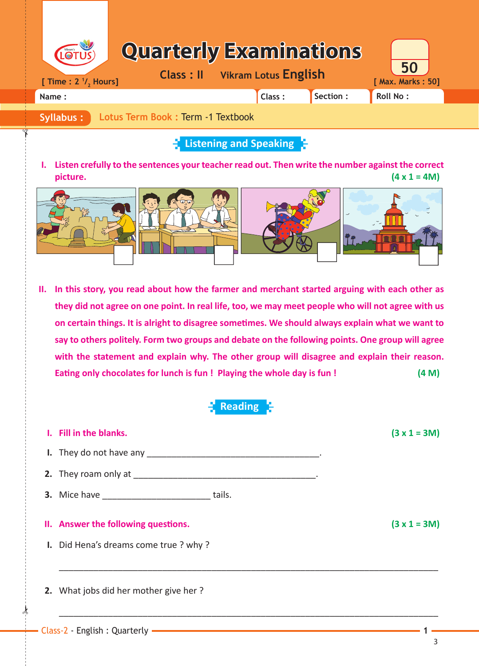| LOTUS)                            | <b>Quarterly Examinations</b>         |           |                         |  |
|-----------------------------------|---------------------------------------|-----------|-------------------------|--|
| [ Time : $2 \frac{1}{2}$ , Hours] | <b>Class: Il</b> Vikram Lotus English |           | 50<br>[ Max. Marks: 50] |  |
| Name:                             | Class:                                | Section : | <b>Roll No:</b>         |  |
|                                   |                                       |           |                         |  |

**Syllabus : Lotus Term Book :** Term -1 Textbook

## **Listening and Speaking**

**I. Listen crefully to the sentences your teacher read out. Then write the number against the correct picture.** (4 x 1 = 4M)



 **II. In this story, you read about how the farmer and merchant started arguing with each other as they did not agree on one point. In real life, too, we may meet people who will not agree with us on certain things. It is alright to disagree someti mes. We should always explain what we want to say to others politely. Form two groups and debate on the following points. One group will agree with the statement and explain why. The other group will disagree and explain their reason.**  Eating only chocolates for lunch is fun! Playing the whole day is fun!  $(4 \text{ M})$ 



| I. Fill in the blanks.                                     | $(3 x 1 = 3M)$ |
|------------------------------------------------------------|----------------|
|                                                            |                |
|                                                            |                |
| <b>3.</b> Mice have ________________________________tails. |                |
|                                                            |                |
| II. Answer the following questions.                        | $(3x1=3M)$     |
| I. Did Hena's dreams come true? why?                       |                |
|                                                            |                |

\_\_\_\_\_\_\_\_\_\_\_\_\_\_\_\_\_\_\_\_\_\_\_\_\_\_\_\_\_\_\_\_\_\_\_\_\_\_\_\_\_\_\_\_\_\_\_\_\_\_\_\_\_\_\_\_\_\_\_\_\_\_\_\_\_\_\_\_\_\_\_\_\_\_\_\_\_

 $\star$ 

✁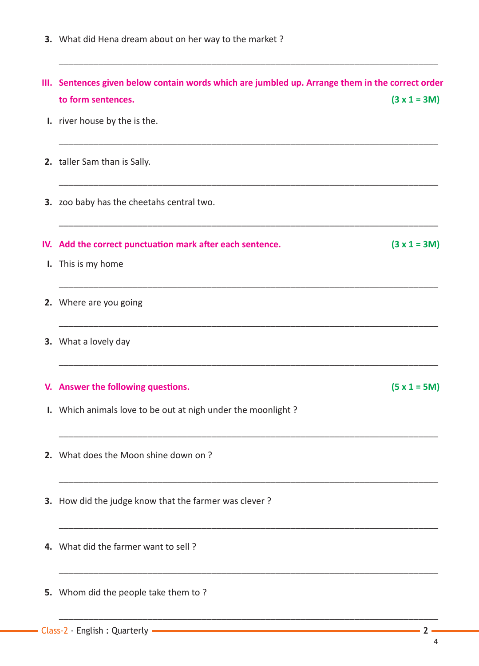**3.** What did Hena dream about on her way to the market ?

 **III. Sentences given below contain words which are jumbled up. Arrange them in the correct order to form sentences. (3 x 1 = 3M) I.** river house by the is the. \_\_\_\_\_\_\_\_\_\_\_\_\_\_\_\_\_\_\_\_\_\_\_\_\_\_\_\_\_\_\_\_\_\_\_\_\_\_\_\_\_\_\_\_\_\_\_\_\_\_\_\_\_\_\_\_\_\_\_\_\_\_\_\_\_\_\_\_\_\_\_\_\_\_\_\_\_  **2.** taller Sam than is Sally. \_\_\_\_\_\_\_\_\_\_\_\_\_\_\_\_\_\_\_\_\_\_\_\_\_\_\_\_\_\_\_\_\_\_\_\_\_\_\_\_\_\_\_\_\_\_\_\_\_\_\_\_\_\_\_\_\_\_\_\_\_\_\_\_\_\_\_\_\_\_\_\_\_\_\_\_\_  **3.** zoo baby has the cheetahs central two. \_\_\_\_\_\_\_\_\_\_\_\_\_\_\_\_\_\_\_\_\_\_\_\_\_\_\_\_\_\_\_\_\_\_\_\_\_\_\_\_\_\_\_\_\_\_\_\_\_\_\_\_\_\_\_\_\_\_\_\_\_\_\_\_\_\_\_\_\_\_\_\_\_\_\_\_\_  **IV.** Add the correct punctuation mark after each sentence.  $(3 \times 1 = 3M)$  **I.** This is my home \_\_\_\_\_\_\_\_\_\_\_\_\_\_\_\_\_\_\_\_\_\_\_\_\_\_\_\_\_\_\_\_\_\_\_\_\_\_\_\_\_\_\_\_\_\_\_\_\_\_\_\_\_\_\_\_\_\_\_\_\_\_\_\_\_\_\_\_\_\_\_\_\_\_\_\_\_  **2.** Where are you going \_\_\_\_\_\_\_\_\_\_\_\_\_\_\_\_\_\_\_\_\_\_\_\_\_\_\_\_\_\_\_\_\_\_\_\_\_\_\_\_\_\_\_\_\_\_\_\_\_\_\_\_\_\_\_\_\_\_\_\_\_\_\_\_\_\_\_\_\_\_\_\_\_\_\_\_\_  **3.** What a lovely day \_\_\_\_\_\_\_\_\_\_\_\_\_\_\_\_\_\_\_\_\_\_\_\_\_\_\_\_\_\_\_\_\_\_\_\_\_\_\_\_\_\_\_\_\_\_\_\_\_\_\_\_\_\_\_\_\_\_\_\_\_\_\_\_\_\_\_\_\_\_\_\_\_\_\_\_\_  **V.** Answer the following questions. (5 x 1 = 5M)  **I.** Which animals love to be out at nigh under the moonlight ? \_\_\_\_\_\_\_\_\_\_\_\_\_\_\_\_\_\_\_\_\_\_\_\_\_\_\_\_\_\_\_\_\_\_\_\_\_\_\_\_\_\_\_\_\_\_\_\_\_\_\_\_\_\_\_\_\_\_\_\_\_\_\_\_\_\_\_\_\_\_\_\_\_\_\_\_\_  **2.** What does the Moon shine down on ? \_\_\_\_\_\_\_\_\_\_\_\_\_\_\_\_\_\_\_\_\_\_\_\_\_\_\_\_\_\_\_\_\_\_\_\_\_\_\_\_\_\_\_\_\_\_\_\_\_\_\_\_\_\_\_\_\_\_\_\_\_\_\_\_\_\_\_\_\_\_\_\_\_\_\_\_\_  **3.** How did the judge know that the farmer was clever ? \_\_\_\_\_\_\_\_\_\_\_\_\_\_\_\_\_\_\_\_\_\_\_\_\_\_\_\_\_\_\_\_\_\_\_\_\_\_\_\_\_\_\_\_\_\_\_\_\_\_\_\_\_\_\_\_\_\_\_\_\_\_\_\_\_\_\_\_\_\_\_\_\_\_\_\_\_  **4.** What did the farmer want to sell ? \_\_\_\_\_\_\_\_\_\_\_\_\_\_\_\_\_\_\_\_\_\_\_\_\_\_\_\_\_\_\_\_\_\_\_\_\_\_\_\_\_\_\_\_\_\_\_\_\_\_\_\_\_\_\_\_\_\_\_\_\_\_\_\_\_\_\_\_\_\_\_\_\_\_\_\_\_  **5.** Whom did the people take them to ?

\_\_\_\_\_\_\_\_\_\_\_\_\_\_\_\_\_\_\_\_\_\_\_\_\_\_\_\_\_\_\_\_\_\_\_\_\_\_\_\_\_\_\_\_\_\_\_\_\_\_\_\_\_\_\_\_\_\_\_\_\_\_\_\_\_\_\_\_\_\_\_\_\_\_\_\_\_

\_\_\_\_\_\_\_\_\_\_\_\_\_\_\_\_\_\_\_\_\_\_\_\_\_\_\_\_\_\_\_\_\_\_\_\_\_\_\_\_\_\_\_\_\_\_\_\_\_\_\_\_\_\_\_\_\_\_\_\_\_\_\_\_\_\_\_\_\_\_\_\_\_\_\_\_\_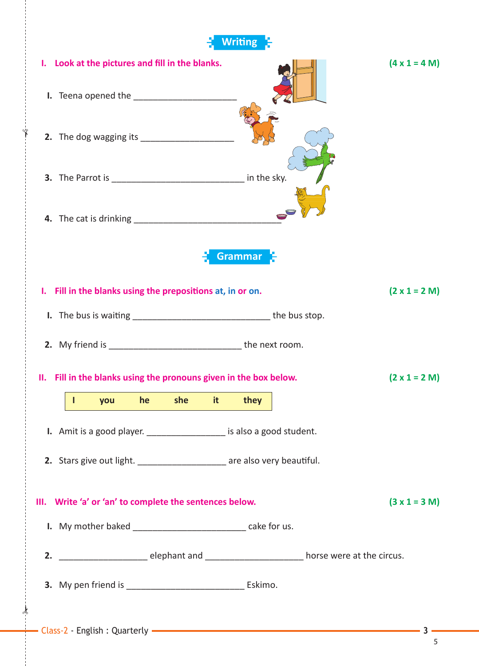|                                                                                                                           | <b>Writing</b>       |
|---------------------------------------------------------------------------------------------------------------------------|----------------------|
| I. Look at the pictures and fill in the blanks.                                                                           | $(4 \times 1 = 4 M)$ |
|                                                                                                                           |                      |
|                                                                                                                           |                      |
|                                                                                                                           |                      |
|                                                                                                                           |                      |
|                                                                                                                           | <b>Grammar</b>       |
| I. Fill in the blanks using the prepositions at, in or on.                                                                | $(2 \times 1 = 2 M)$ |
|                                                                                                                           |                      |
| 2. My friend is __________________________________ the next room.                                                         |                      |
| II. Fill in the blanks using the pronouns given in the box below.                                                         | $(2 \times 1 = 2 M)$ |
| she<br>it.<br>he<br>you                                                                                                   | they                 |
| I. Amit is a good player. ___________________ is also a good student.                                                     |                      |
| 2. Stars give out light. ______________________ are also very beautiful.                                                  |                      |
|                                                                                                                           |                      |
| III. Write 'a' or 'an' to complete the sentences below.<br>I. My mother baked ______________________________ cake for us. | $(3 x 1 = 3 M)$      |
|                                                                                                                           |                      |
|                                                                                                                           |                      |
|                                                                                                                           |                      |
|                                                                                                                           |                      |

 $\frac{1}{2}$ 

✁